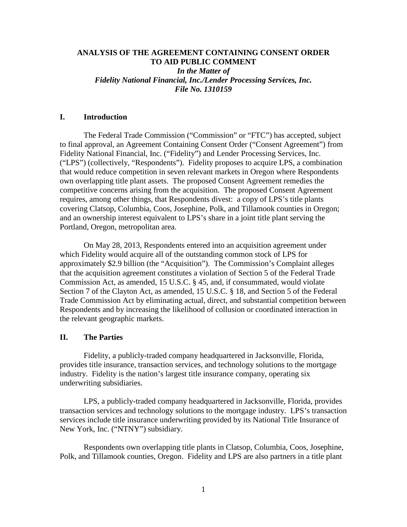### **ANALYSIS OF THE AGREEMENT CONTAINING CONSENT ORDER TO AID PUBLIC COMMENT** *In the Matter of Fidelity National Financial, Inc./Lender Processing Services, Inc. File No. 1310159*

### **I. Introduction**

The Federal Trade Commission ("Commission" or "FTC") has accepted, subject to final approval, an Agreement Containing Consent Order ("Consent Agreement") from Fidelity National Financial, Inc. ("Fidelity") and Lender Processing Services, Inc. ("LPS") (collectively, "Respondents"). Fidelity proposes to acquire LPS, a combination that would reduce competition in seven relevant markets in Oregon where Respondents own overlapping title plant assets. The proposed Consent Agreement remedies the competitive concerns arising from the acquisition. The proposed Consent Agreement requires, among other things, that Respondents divest: a copy of LPS's title plants covering Clatsop, Columbia, Coos, Josephine, Polk, and Tillamook counties in Oregon; and an ownership interest equivalent to LPS's share in a joint title plant serving the Portland, Oregon, metropolitan area.

On May 28, 2013, Respondents entered into an acquisition agreement under which Fidelity would acquire all of the outstanding common stock of LPS for approximately \$2.9 billion (the "Acquisition"). The Commission's Complaint alleges that the acquisition agreement constitutes a violation of Section 5 of the Federal Trade Commission Act, as amended, 15 U.S.C. § 45, and, if consummated, would violate Section 7 of the Clayton Act, as amended, 15 U.S.C. § 18, and Section 5 of the Federal Trade Commission Act by eliminating actual, direct, and substantial competition between Respondents and by increasing the likelihood of collusion or coordinated interaction in the relevant geographic markets.

#### **II. The Parties**

 Fidelity, a publicly-traded company headquartered in Jacksonville, Florida, provides title insurance, transaction services, and technology solutions to the mortgage industry. Fidelity is the nation's largest title insurance company, operating six underwriting subsidiaries.

 LPS, a publicly-traded company headquartered in Jacksonville, Florida, provides transaction services and technology solutions to the mortgage industry. LPS's transaction services include title insurance underwriting provided by its National Title Insurance of New York, Inc. ("NTNY") subsidiary.

 Respondents own overlapping title plants in Clatsop, Columbia, Coos, Josephine, Polk, and Tillamook counties, Oregon. Fidelity and LPS are also partners in a title plant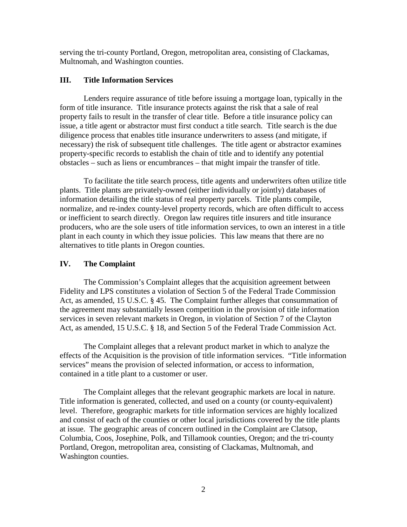serving the tri-county Portland, Oregon, metropolitan area, consisting of Clackamas, Multnomah, and Washington counties.

## **III. Title Information Services**

Lenders require assurance of title before issuing a mortgage loan, typically in the form of title insurance. Title insurance protects against the risk that a sale of real property fails to result in the transfer of clear title. Before a title insurance policy can issue, a title agent or abstractor must first conduct a title search. Title search is the due diligence process that enables title insurance underwriters to assess (and mitigate, if necessary) the risk of subsequent title challenges. The title agent or abstractor examines property-specific records to establish the chain of title and to identify any potential obstacles – such as liens or encumbrances – that might impair the transfer of title.

To facilitate the title search process, title agents and underwriters often utilize title plants. Title plants are privately-owned (either individually or jointly) databases of information detailing the title status of real property parcels. Title plants compile, normalize, and re-index county-level property records, which are often difficult to access or inefficient to search directly. Oregon law requires title insurers and title insurance producers, who are the sole users of title information services, to own an interest in a title plant in each county in which they issue policies. This law means that there are no alternatives to title plants in Oregon counties.

# **IV. The Complaint**

The Commission's Complaint alleges that the acquisition agreement between Fidelity and LPS constitutes a violation of Section 5 of the Federal Trade Commission Act, as amended, 15 U.S.C. § 45. The Complaint further alleges that consummation of the agreement may substantially lessen competition in the provision of title information services in seven relevant markets in Oregon, in violation of Section 7 of the Clayton Act, as amended, 15 U.S.C. § 18, and Section 5 of the Federal Trade Commission Act.

The Complaint alleges that a relevant product market in which to analyze the effects of the Acquisition is the provision of title information services. "Title information services" means the provision of selected information, or access to information, contained in a title plant to a customer or user.

The Complaint alleges that the relevant geographic markets are local in nature. Title information is generated, collected, and used on a county (or county-equivalent) level. Therefore, geographic markets for title information services are highly localized and consist of each of the counties or other local jurisdictions covered by the title plants at issue. The geographic areas of concern outlined in the Complaint are Clatsop, Columbia, Coos, Josephine, Polk, and Tillamook counties, Oregon; and the tri-county Portland, Oregon, metropolitan area, consisting of Clackamas, Multnomah, and Washington counties.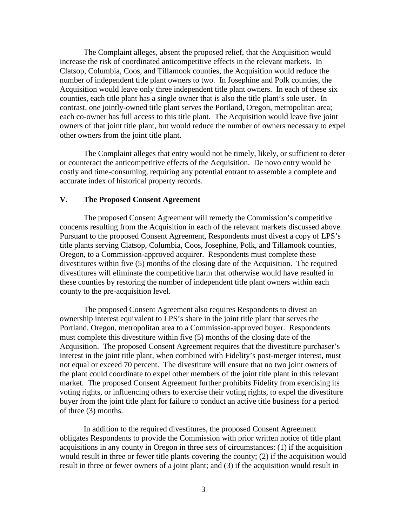The Complaint alleges, absent the proposed relief, that the Acquisition would increase the risk of coordinated anticompetitive effects in the relevant markets. In Clatsop, Columbia, Coos, and Tillamook counties, the Acquisition would reduce the number of independent title plant owners to two. In Josephine and Polk counties, the Acquisition would leave only three independent title plant owners. In each of these six counties, each title plant has a single owner that is also the title plant's sole user. In contrast, one jointly-owned title plant serves the Portland, Oregon, metropolitan area; each co-owner has full access to this title plant. The Acquisition would leave five joint owners of that joint title plant, but would reduce the number of owners necessary to expel other owners from the joint title plant.

The Complaint alleges that entry would not be timely, likely, or sufficient to deter or counteract the anticompetitive effects of the Acquisition. De novo entry would be costly and time-consuming, requiring any potential entrant to assemble a complete and accurate index of historical property records.

### **V. The Proposed Consent Agreement**

The proposed Consent Agreement will remedy the Commission's competitive concerns resulting from the Acquisition in each of the relevant markets discussed above. Pursuant to the proposed Consent Agreement, Respondents must divest a copy of LPS's title plants serving Clatsop, Columbia, Coos, Josephine, Polk, and Tillamook counties, Oregon, to a Commission-approved acquirer. Respondents must complete these divestitures within five (5) months of the closing date of the Acquisition. The required divestitures will eliminate the competitive harm that otherwise would have resulted in these counties by restoring the number of independent title plant owners within each county to the pre-acquisition level.

The proposed Consent Agreement also requires Respondents to divest an ownership interest equivalent to LPS's share in the joint title plant that serves the Portland, Oregon, metropolitan area to a Commission-approved buyer. Respondents must complete this divestiture within five (5) months of the closing date of the Acquisition. The proposed Consent Agreement requires that the divestiture purchaser's interest in the joint title plant, when combined with Fidelity's post-merger interest, must not equal or exceed 70 percent. The divestiture will ensure that no two joint owners of the plant could coordinate to expel other members of the joint title plant in this relevant market. The proposed Consent Agreement further prohibits Fidelity from exercising its voting rights, or influencing others to exercise their voting rights, to expel the divestiture buyer from the joint title plant for failure to conduct an active title business for a period of three (3) months.

 In addition to the required divestitures, the proposed Consent Agreement obligates Respondents to provide the Commission with prior written notice of title plant acquisitions in any county in Oregon in three sets of circumstances: (1) if the acquisition would result in three or fewer title plants covering the county; (2) if the acquisition would result in three or fewer owners of a joint plant; and (3) if the acquisition would result in